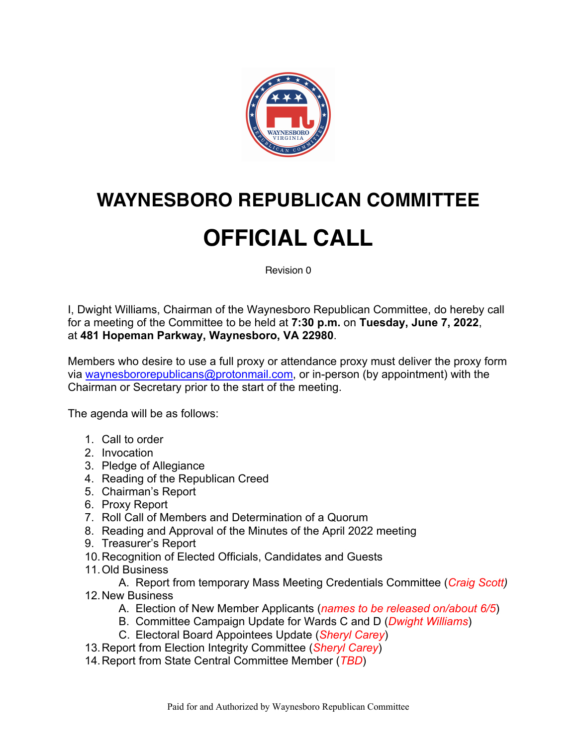

## **WAYNESBORO REPUBLICAN COMMITTEE**

## **OFFICIAL CALL**

Revision 0

I, Dwight Williams, Chairman of the Waynesboro Republican Committee, do hereby call for a meeting of the Committee to be held at **7:30 p.m.** on **Tuesday, June 7, 2022**, at **481 Hopeman Parkway, Waynesboro, VA 22980**.

Members who desire to use a full proxy or attendance proxy must deliver the proxy form via waynesbororepublicans@protonmail.com, or in-person (by appointment) with the Chairman or Secretary prior to the start of the meeting.

The agenda will be as follows:

- 1. Call to order
- 2. Invocation
- 3. Pledge of Allegiance
- 4. Reading of the Republican Creed
- 5. Chairman's Report
- 6. Proxy Report
- 7. Roll Call of Members and Determination of a Quorum
- 8. Reading and Approval of the Minutes of the April 2022 meeting
- 9. Treasurer's Report
- 10.Recognition of Elected Officials, Candidates and Guests
- 11.Old Business

A. Report from temporary Mass Meeting Credentials Committee (*Craig Scott)* 12.New Business

- A. Election of New Member Applicants (*names to be released on/about 6/5*)
- B. Committee Campaign Update for Wards C and D (*Dwight Williams*)
- C. Electoral Board Appointees Update (*Sheryl Carey*)
- 13.Report from Election Integrity Committee (*Sheryl Carey*)
- 14.Report from State Central Committee Member (*TBD*)